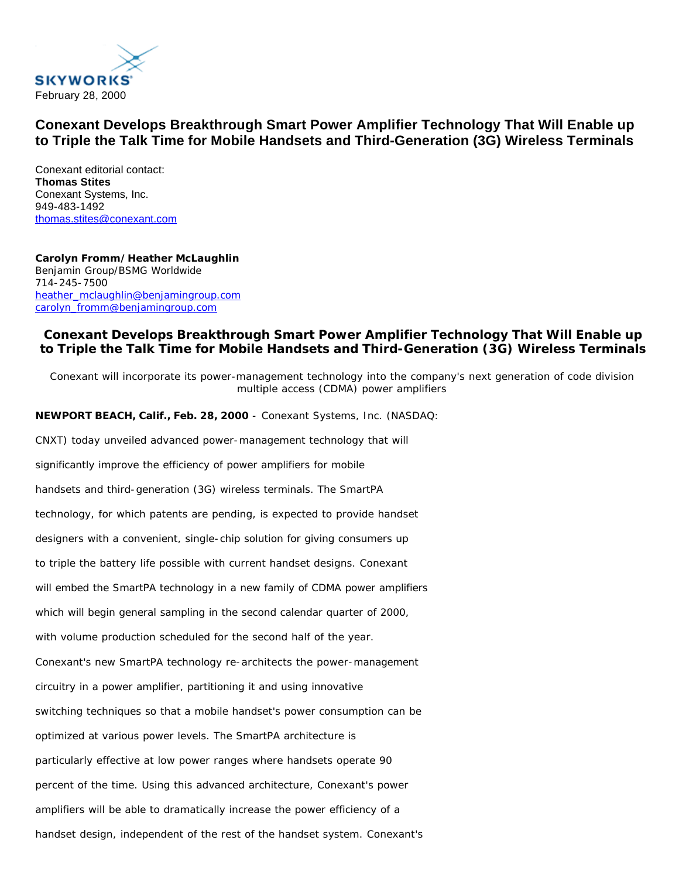

## **Conexant Develops Breakthrough Smart Power Amplifier Technology That Will Enable up to Triple the Talk Time for Mobile Handsets and Third-Generation (3G) Wireless Terminals**

Conexant editorial contact: **Thomas Stites** Conexant Systems, Inc. 949-483-1492 [thomas.stites@conexant.com](mailto:thomas.stites@conexant.com) 

**Carolyn Fromm/Heather McLaughlin** Benjamin Group/BSMG Worldwide 714-245-7500 [heather\\_mclaughlin@benjamingroup.com](mailto:heather_mclaughlin@benjamingroup.com) [carolyn\\_fromm@benjamingroup.com](mailto:carolyn_fromm@benjamingroup.com)

**Conexant Develops Breakthrough Smart Power Amplifier Technology That Will Enable up to Triple the Talk Time for Mobile Handsets and Third-Generation (3G) Wireless Terminals**

*Conexant will incorporate its power-management technology into the company's next generation of code division multiple access (CDMA) power amplifiers* 

**NEWPORT BEACH, Calif., Feb. 28, 2000** - Conexant Systems, Inc. (NASDAQ: CNXT) today unveiled advanced power-management technology that will significantly improve the efficiency of power amplifiers for mobile handsets and third-generation (3G) wireless terminals. The SmartPA technology, for which patents are pending, is expected to provide handset designers with a convenient, single-chip solution for giving consumers up to triple the battery life possible with current handset designs. Conexant will embed the SmartPA technology in a new family of CDMA power amplifiers which will begin general sampling in the second calendar quarter of 2000, with volume production scheduled for the second half of the year. Conexant's new SmartPA technology re-architects the power-management circuitry in a power amplifier, partitioning it and using innovative switching techniques so that a mobile handset's power consumption can be optimized at various power levels. The SmartPA architecture is particularly effective at low power ranges where handsets operate 90 percent of the time. Using this advanced architecture, Conexant's power amplifiers will be able to dramatically increase the power efficiency of a handset design, independent of the rest of the handset system. Conexant's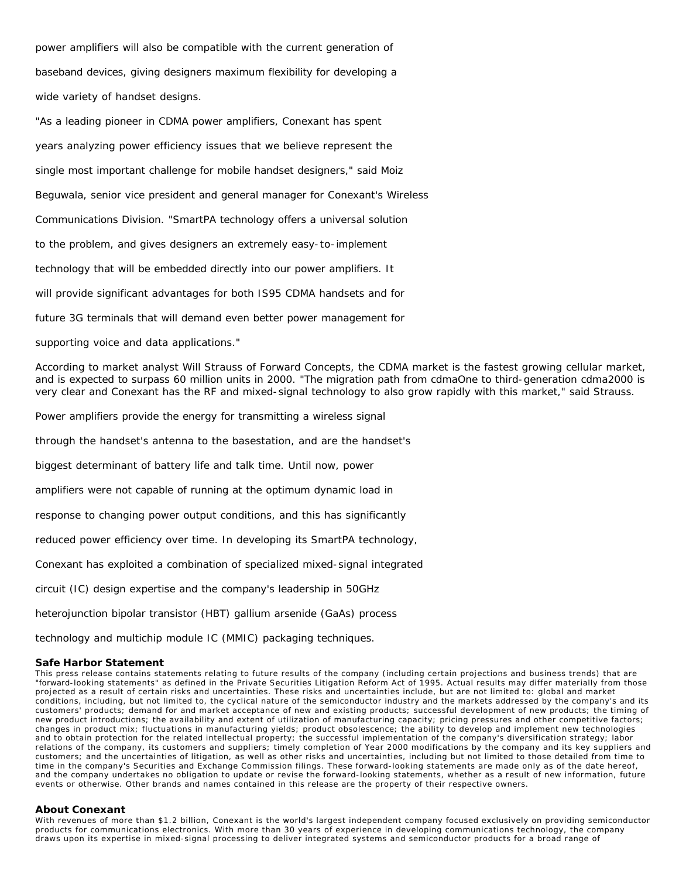power amplifiers will also be compatible with the current generation of baseband devices, giving designers maximum flexibility for developing a wide variety of handset designs.

"As a leading pioneer in CDMA power amplifiers, Conexant has spent years analyzing power efficiency issues that we believe represent the single most important challenge for mobile handset designers," said Moiz Beguwala, senior vice president and general manager for Conexant's Wireless Communications Division. "SmartPA technology offers a universal solution to the problem, and gives designers an extremely easy-to-implement technology that will be embedded directly into our power amplifiers. It will provide significant advantages for both IS95 CDMA handsets and for future 3G terminals that will demand even better power management for

supporting voice and data applications."

According to market analyst Will Strauss of Forward Concepts, the CDMA market is the fastest growing cellular market, and is expected to surpass 60 million units in 2000. "The migration path from cdmaOne to third-generation cdma2000 is very clear and Conexant has the RF and mixed-signal technology to also grow rapidly with this market," said Strauss.

Power amplifiers provide the energy for transmitting a wireless signal

through the handset's antenna to the basestation, and are the handset's

biggest determinant of battery life and talk time. Until now, power

amplifiers were not capable of running at the optimum dynamic load in

response to changing power output conditions, and this has significantly

reduced power efficiency over time. In developing its SmartPA technology,

Conexant has exploited a combination of specialized mixed-signal integrated

circuit (IC) design expertise and the company's leadership in 50GHz

heterojunction bipolar transistor (HBT) gallium arsenide (GaAs) process

technology and multichip module IC (MMIC) packaging techniques.

## **Safe Harbor Statement**

This press release contains statements relating to future results of the company (including certain projections and business trends) that are "forward-looking statements" as defined in the Private Securities Litigation Reform Act of 1995. Actual results may differ materially from those projected as a result of certain risks and uncertainties. These risks and uncertainties include, but are not limited to: global and market conditions, including, but not limited to, the cyclical nature of the semiconductor industry and the markets addressed by the company's and its customers' products; demand for and market acceptance of new and existing products; successful development of new products; the timing of new product introductions; the availability and extent of utilization of manufacturing capacity; pricing pressures and other competitive factors; changes in product mix; fluctuations in manufacturing yields; product obsolescence; the ability to develop and implement new technologies and to obtain protection for the related intellectual property; the successful implementation of the company's diversification strategy; labor relations of the company, its customers and suppliers; timely completion of Year 2000 modifications by the company and its key suppliers and customers; and the uncertainties of litigation, as well as other risks and uncertainties, including but not limited to those detailed from time to time in the company's Securities and Exchange Commission filings. These forward-looking statements are made only as of the date hereof, and the company undertakes no obligation to update or revise the forward-looking statements, whether as a result of new information, future events or otherwise. Other brands and names contained in this release are the property of their respective owners.

## **About Conexant**

With revenues of more than \$1.2 billion, Conexant is the world's largest independent company focused exclusively on providing semiconductor products for communications electronics. With more than 30 years of experience in developing communications technology, the company draws upon its expertise in mixed-signal processing to deliver integrated systems and semiconductor products for a broad range of